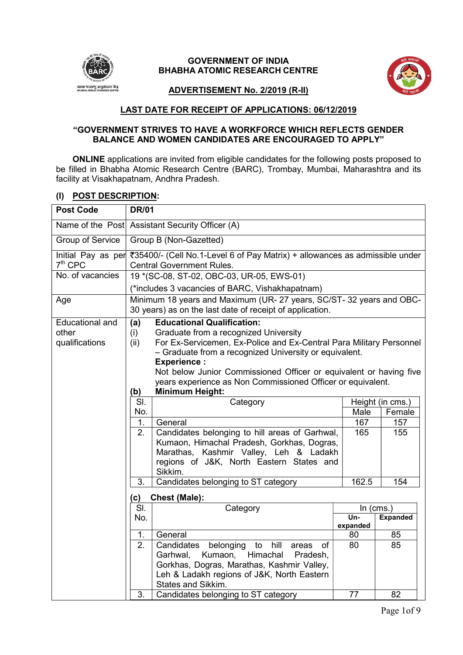

# GOVERNMENT OF INDIA BHABHA ATOMIC RESEARCH CENTRE



#### ADVERTISEMENT No. 2/2019 (R-II)

# LAST DATE FOR RECEIPT OF APPLICATIONS: 06/12/2019

#### "GOVERNMENT STRIVES TO HAVE A WORKFORCE WHICH REFLECTS GENDER BALANCE AND WOMEN CANDIDATES ARE ENCOURAGED TO APPLY"

ONLINE applications are invited from eligible candidates for the following posts proposed to be filled in Bhabha Atomic Research Centre (BARC), Trombay, Mumbai, Maharashtra and its facility at Visakhapatnam, Andhra Pradesh.

# (I) POST DESCRIPTION:

| <b>Post Code</b>                                  | <b>DR/01</b>                                    |                                                                                                                                                                                                                                                                                                                                                                                                  |                 |                  |
|---------------------------------------------------|-------------------------------------------------|--------------------------------------------------------------------------------------------------------------------------------------------------------------------------------------------------------------------------------------------------------------------------------------------------------------------------------------------------------------------------------------------------|-----------------|------------------|
|                                                   | Name of the Post Assistant Security Officer (A) |                                                                                                                                                                                                                                                                                                                                                                                                  |                 |                  |
| <b>Group of Service</b>                           |                                                 | Group B (Non-Gazetted)                                                                                                                                                                                                                                                                                                                                                                           |                 |                  |
| Initial Pay as per<br>$7th$ CPC                   |                                                 | ₹35400/- (Cell No.1-Level 6 of Pay Matrix) + allowances as admissible under<br><b>Central Government Rules.</b>                                                                                                                                                                                                                                                                                  |                 |                  |
| No. of vacancies                                  |                                                 | 19 * (SC-08, ST-02, OBC-03, UR-05, EWS-01)                                                                                                                                                                                                                                                                                                                                                       |                 |                  |
|                                                   |                                                 | (*includes 3 vacancies of BARC, Vishakhapatnam)                                                                                                                                                                                                                                                                                                                                                  |                 |                  |
| Age                                               |                                                 | Minimum 18 years and Maximum (UR- 27 years, SC/ST- 32 years and OBC-<br>30 years) as on the last date of receipt of application.                                                                                                                                                                                                                                                                 |                 |                  |
| <b>Educational and</b><br>other<br>qualifications | (a)<br>(i)<br>(ii)<br>(b)                       | <b>Educational Qualification:</b><br>Graduate from a recognized University<br>For Ex-Servicemen, Ex-Police and Ex-Central Para Military Personnel<br>- Graduate from a recognized University or equivalent.<br><b>Experience:</b><br>Not below Junior Commissioned Officer or equivalent or having five<br>years experience as Non Commissioned Officer or equivalent.<br><b>Minimum Height:</b> |                 |                  |
|                                                   | SI.                                             | Category                                                                                                                                                                                                                                                                                                                                                                                         |                 | Height (in cms.) |
|                                                   | No.                                             |                                                                                                                                                                                                                                                                                                                                                                                                  | Male            | Female           |
|                                                   | 1.                                              | General                                                                                                                                                                                                                                                                                                                                                                                          | 167             | 157              |
|                                                   | 2.                                              | Candidates belonging to hill areas of Garhwal,<br>Kumaon, Himachal Pradesh, Gorkhas, Dogras,<br>Marathas, Kashmir Valley, Leh & Ladakh<br>regions of J&K, North Eastern States and<br>Sikkim.                                                                                                                                                                                                    | 165             | 155              |
|                                                   | 3.                                              | Candidates belonging to ST category                                                                                                                                                                                                                                                                                                                                                              | 162.5           | 154              |
|                                                   | (c)                                             | <b>Chest (Male):</b>                                                                                                                                                                                                                                                                                                                                                                             |                 |                  |
|                                                   | SI.                                             | Category                                                                                                                                                                                                                                                                                                                                                                                         |                 | ln (cms.)        |
|                                                   | No.                                             |                                                                                                                                                                                                                                                                                                                                                                                                  | Un-<br>expanded | <b>Expanded</b>  |
|                                                   | 1.                                              | General                                                                                                                                                                                                                                                                                                                                                                                          | 80              | 85               |
|                                                   | 2.                                              | Candidates<br>belonging<br>to<br>hill<br>οf<br>areas<br>Himachal<br>Kumaon,<br>Garhwal,<br>Pradesh,<br>Gorkhas, Dogras, Marathas, Kashmir Valley,<br>Leh & Ladakh regions of J&K, North Eastern<br>States and Sikkim.                                                                                                                                                                            | 80              | 85               |
|                                                   | 3.                                              | Candidates belonging to ST category                                                                                                                                                                                                                                                                                                                                                              | 77              | 82               |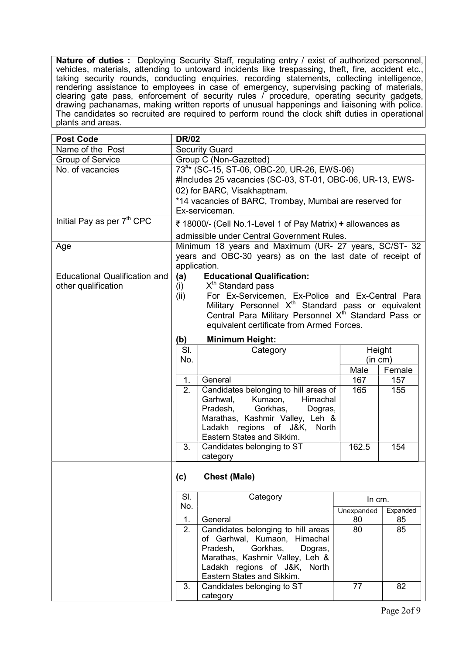Nature of duties : Deploying Security Staff, regulating entry / exist of authorized personnel, vehicles, materials, attending to untoward incidents like trespassing, theft, fire, accident etc., taking security rounds, conducting enquiries, recording statements, collecting intelligence, rendering assistance to employees in case of emergency, supervising packing of materials, clearing gate pass, enforcement of security rules / procedure, operating security gadgets, drawing pachanamas, making written reports of unusual happenings and liaisoning with police. The candidates so recruited are required to perform round the clock shift duties in operational plants and areas.

| <b>Post Code</b>                       | <b>DR/02</b>                                           |                                                                  |            |          |
|----------------------------------------|--------------------------------------------------------|------------------------------------------------------------------|------------|----------|
| Name of the Post                       |                                                        | <b>Security Guard</b>                                            |            |          |
| <b>Group of Service</b>                | Group C (Non-Gazetted)                                 |                                                                  |            |          |
| No. of vacancies                       | 73 <sup>#*</sup> (SC-15, ST-06, OBC-20, UR-26, EWS-06) |                                                                  |            |          |
|                                        |                                                        | #Includes 25 vacancies (SC-03, ST-01, OBC-06, UR-13, EWS-        |            |          |
|                                        |                                                        | 02) for BARC, Visakhaptnam.                                      |            |          |
|                                        |                                                        | *14 vacancies of BARC, Trombay, Mumbai are reserved for          |            |          |
|                                        |                                                        | Ex-serviceman.                                                   |            |          |
| Initial Pay as per 7 <sup>th</sup> CPC |                                                        | ₹ 18000/- (Cell No.1-Level 1 of Pay Matrix) + allowances as      |            |          |
|                                        |                                                        | admissible under Central Government Rules.                       |            |          |
| Age                                    |                                                        | Minimum 18 years and Maximum (UR- 27 years, SC/ST- 32            |            |          |
|                                        |                                                        | years and OBC-30 years) as on the last date of receipt of        |            |          |
|                                        |                                                        | application.                                                     |            |          |
| <b>Educational Qualification and</b>   | (a)                                                    | <b>Educational Qualification:</b>                                |            |          |
| other qualification                    | (i)                                                    | X <sup>th</sup> Standard pass                                    |            |          |
|                                        | (ii)                                                   | For Ex-Servicemen, Ex-Police and Ex-Central Para                 |            |          |
|                                        |                                                        | Military Personnel X <sup>th</sup> Standard pass or equivalent   |            |          |
|                                        |                                                        | Central Para Military Personnel X <sup>th</sup> Standard Pass or |            |          |
|                                        |                                                        | equivalent certificate from Armed Forces.                        |            |          |
|                                        | (b)                                                    | <b>Minimum Height:</b>                                           |            |          |
|                                        | SI.                                                    | Category                                                         | Height     |          |
|                                        | No.                                                    |                                                                  | (in cm)    |          |
|                                        |                                                        |                                                                  | Male       | Female   |
|                                        | 1.                                                     | General                                                          | 167        | 157      |
|                                        | 2.                                                     | Candidates belonging to hill areas of                            | 165        | 155      |
|                                        |                                                        | Kumaon,<br>Garhwal,<br>Himachal                                  |            |          |
|                                        |                                                        | Pradesh,<br>Gorkhas,<br>Dogras,                                  |            |          |
|                                        |                                                        | Marathas, Kashmir Valley, Leh &                                  |            |          |
|                                        |                                                        | Ladakh regions<br>of J&K,<br>North                               |            |          |
|                                        |                                                        | Eastern States and Sikkim.                                       |            |          |
|                                        | 3.                                                     | Candidates belonging to ST<br>category                           | 162.5      | 154      |
|                                        | (c)                                                    | <b>Chest (Male)</b>                                              |            |          |
|                                        |                                                        |                                                                  |            |          |
|                                        | SI.                                                    | Category                                                         | In cm.     |          |
|                                        | No.                                                    |                                                                  | Unexpanded | Expanded |
|                                        | 1.                                                     | General                                                          | 80         | 85       |
|                                        | 2.                                                     | Candidates belonging to hill areas                               | 80         | 85       |
|                                        |                                                        | of Garhwal, Kumaon, Himachal                                     |            |          |
|                                        |                                                        | Pradesh,<br>Gorkhas,<br>Dogras,                                  |            |          |
|                                        |                                                        | Marathas, Kashmir Valley, Leh &                                  |            |          |
|                                        |                                                        | Ladakh regions of J&K, North                                     |            |          |
|                                        |                                                        | Eastern States and Sikkim.                                       |            |          |
|                                        | 3.                                                     | Candidates belonging to ST                                       | 77         | 82       |
|                                        |                                                        | category                                                         |            |          |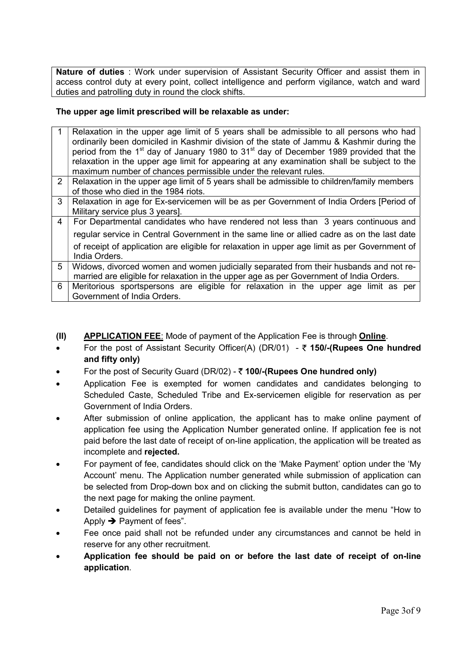Nature of duties : Work under supervision of Assistant Security Officer and assist them in access control duty at every point, collect intelligence and perform vigilance, watch and ward duties and patrolling duty in round the clock shifts.

# The upper age limit prescribed will be relaxable as under:

|                | Relaxation in the upper age limit of 5 years shall be admissible to all persons who had<br>ordinarily been domiciled in Kashmir division of the state of Jammu & Kashmir during the |
|----------------|-------------------------------------------------------------------------------------------------------------------------------------------------------------------------------------|
|                | period from the 1 <sup>st</sup> day of January 1980 to 31 <sup>st</sup> day of December 1989 provided that the                                                                      |
|                | relaxation in the upper age limit for appearing at any examination shall be subject to the                                                                                          |
|                | maximum number of chances permissible under the relevant rules.                                                                                                                     |
| $\overline{2}$ | Relaxation in the upper age limit of 5 years shall be admissible to children/family members                                                                                         |
|                | of those who died in the 1984 riots.                                                                                                                                                |
| 3              | Relaxation in age for Ex-servicemen will be as per Government of India Orders [Period of                                                                                            |
|                | Military service plus 3 years].                                                                                                                                                     |
| $\overline{4}$ | For Departmental candidates who have rendered not less than 3 years continuous and                                                                                                  |
|                | regular service in Central Government in the same line or allied cadre as on the last date                                                                                          |
|                | of receipt of application are eligible for relaxation in upper age limit as per Government of                                                                                       |
|                | India Orders.                                                                                                                                                                       |
| 5              | Widows, divorced women and women judicially separated from their husbands and not re-                                                                                               |
|                | married are eligible for relaxation in the upper age as per Government of India Orders.                                                                                             |
| 6              | Meritorious sportspersons are eligible for relaxation in the upper age limit as per                                                                                                 |
|                | Government of India Orders.                                                                                                                                                         |

- (II) APPLICATION FEE: Mode of payment of the Application Fee is through Online.
- For the post of Assistant Security Officer(A) (DR/01)  $\bar{\tau}$  150/-(Rupees One hundred and fifty only)
- For the post of Security Guard (DR/02)  $\bar{\tau}$  100/-(Rupees One hundred only)
- Application Fee is exempted for women candidates and candidates belonging to Scheduled Caste, Scheduled Tribe and Ex-servicemen eligible for reservation as per Government of India Orders.
- After submission of online application, the applicant has to make online payment of application fee using the Application Number generated online. If application fee is not paid before the last date of receipt of on-line application, the application will be treated as incomplete and rejected.
- For payment of fee, candidates should click on the 'Make Payment' option under the 'My Account' menu. The Application number generated while submission of application can be selected from Drop-down box and on clicking the submit button, candidates can go to the next page for making the online payment.
- Detailed guidelines for payment of application fee is available under the menu "How to Apply  $\rightarrow$  Payment of fees".
- Fee once paid shall not be refunded under any circumstances and cannot be held in reserve for any other recruitment.
- Application fee should be paid on or before the last date of receipt of on-line application.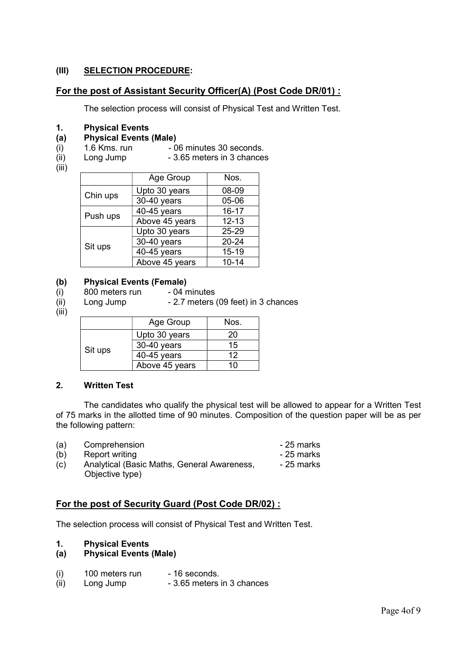# (III) SELECTION PROCEDURE:

# For the post of Assistant Security Officer(A) (Post Code DR/01) :

The selection process will consist of Physical Test and Written Test.

#### 1. Physical Events

### (a) Physical Events (Male)

- 
- (i)  $1.6$  Kms. run 06 minutes 30 seconds.<br>(ii) Long Jump 3.65 meters in 3 chances Long Jump - 3.65 meters in 3 chances
- (iii)

|          | Age Group      | Nos.      |
|----------|----------------|-----------|
| Chin ups | Upto 30 years  | 08-09     |
|          | 30-40 years    | 05-06     |
| Push ups | 40-45 years    | $16 - 17$ |
|          | Above 45 years | $12 - 13$ |
|          | Upto 30 years  | 25-29     |
| Sit ups  | 30-40 years    | 20-24     |
|          | 40-45 years    | 15-19     |
|          | Above 45 years | $10 - 14$ |

#### (b) Physical Events (Female)

- $(i)$  800 meters run 04 minutes
- $(ii)$  Long Jump 2.7 meters (09 feet) in 3 chances
- (iii)

|         | Age Group      | Nos. |
|---------|----------------|------|
|         | Upto 30 years  | 20   |
|         | 30-40 years    | 15   |
| Sit ups | 40-45 years    | 12   |
|         | Above 45 years | 10   |

#### 2. Written Test

 The candidates who qualify the physical test will be allowed to appear for a Written Test of 75 marks in the allotted time of 90 minutes. Composition of the question paper will be as per the following pattern:

- (a) Comprehension 25 marks
- (b) Report writing 25 marks
- $(c)$  Analytical (Basic Maths, General Awareness, Objective type)

# For the post of Security Guard (Post Code DR/02) :

The selection process will consist of Physical Test and Written Test.

# 1. Physical Events

- (a) Physical Events (Male)
- $(i)$  100 meters run 16 seconds.
- $(iii)$  Long Jump 3.65 meters in 3 chances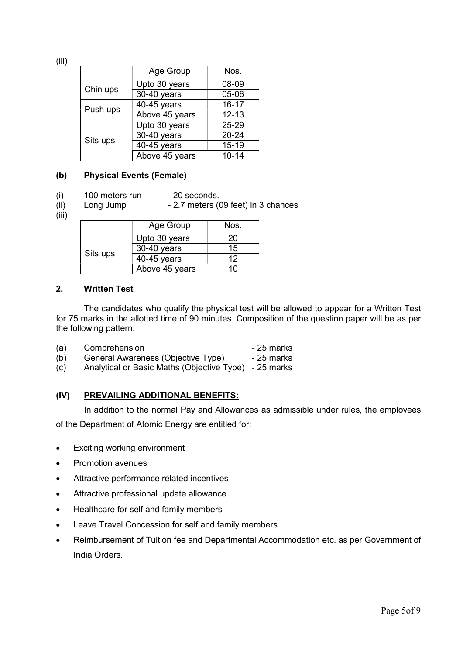(iii)

|          | Age Group      | Nos.      |
|----------|----------------|-----------|
|          | Upto 30 years  | 08-09     |
| Chin ups | 30-40 years    | 05-06     |
| Push ups | 40-45 years    | $16 - 17$ |
|          | Above 45 years | $12 - 13$ |
|          | Upto 30 years  | 25-29     |
| Sits ups | 30-40 years    | 20-24     |
|          | 40-45 years    | 15-19     |
|          | Above 45 years | $10 - 14$ |

# (b) Physical Events (Female)

 $(i)$  100 meters run - 20 seconds.

 $(iii)$  Long Jump - 2.7 meters (09 feet) in 3 chances

# (iii)

|          | Age Group      | Nos. |
|----------|----------------|------|
|          | Upto 30 years  | 20   |
|          | 30-40 years    | 15   |
| Sits ups | $40-45$ years  | 12   |
|          | Above 45 years | 10   |

# 2. Written Test

 The candidates who qualify the physical test will be allowed to appear for a Written Test for 75 marks in the allotted time of 90 minutes. Composition of the question paper will be as per the following pattern:

| (a) | Comprehension                                         | - 25 marks |
|-----|-------------------------------------------------------|------------|
| (b) | General Awareness (Objective Type)                    | - 25 marks |
| (c) | Analytical or Basic Maths (Objective Type) - 25 marks |            |

# (IV) PREVAILING ADDITIONAL BENEFITS:

In addition to the normal Pay and Allowances as admissible under rules, the employees

of the Department of Atomic Energy are entitled for:

- Exciting working environment
- Promotion avenues
- Attractive performance related incentives
- Attractive professional update allowance
- Healthcare for self and family members
- Leave Travel Concession for self and family members
- Reimbursement of Tuition fee and Departmental Accommodation etc. as per Government of India Orders.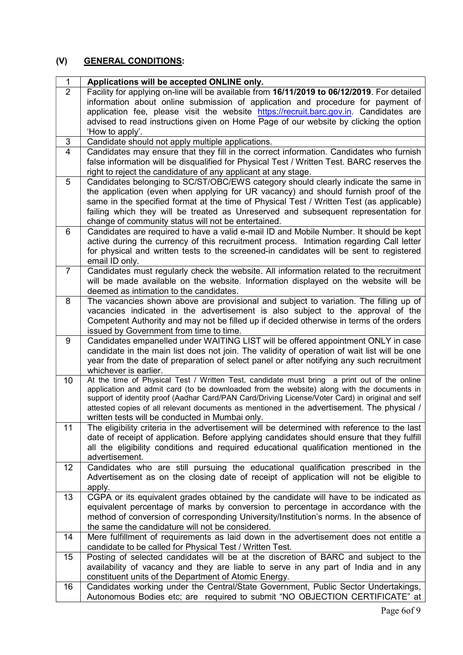# (V) GENERAL CONDITIONS:

| $\mathbf{1}$   | Applications will be accepted ONLINE only.                                                                                                                                                |
|----------------|-------------------------------------------------------------------------------------------------------------------------------------------------------------------------------------------|
| $\overline{2}$ | Facility for applying on-line will be available from 16/11/2019 to 06/12/2019. For detailed<br>information about online submission of application and procedure for payment of            |
|                | application fee, please visit the website https://recruit.barc.gov.in. Candidates are                                                                                                     |
|                | advised to read instructions given on Home Page of our website by clicking the option                                                                                                     |
|                | 'How to apply'.                                                                                                                                                                           |
| 3              | Candidate should not apply multiple applications.                                                                                                                                         |
| $\overline{4}$ | Candidates may ensure that they fill in the correct information. Candidates who furnish                                                                                                   |
|                | false information will be disqualified for Physical Test / Written Test. BARC reserves the                                                                                                |
|                | right to reject the candidature of any applicant at any stage.                                                                                                                            |
| 5              | Candidates belonging to SC/ST/OBC/EWS category should clearly indicate the same in                                                                                                        |
|                | the application (even when applying for UR vacancy) and should furnish proof of the                                                                                                       |
|                | same in the specified format at the time of Physical Test / Written Test (as applicable)                                                                                                  |
|                | failing which they will be treated as Unreserved and subsequent representation for<br>change of community status will not be entertained.                                                 |
| 6              | Candidates are required to have a valid e-mail ID and Mobile Number. It should be kept                                                                                                    |
|                | active during the currency of this recruitment process. Intimation regarding Call letter                                                                                                  |
|                | for physical and written tests to the screened-in candidates will be sent to registered                                                                                                   |
|                | email ID only.                                                                                                                                                                            |
| $\overline{7}$ | Candidates must regularly check the website. All information related to the recruitment                                                                                                   |
|                | will be made available on the website. Information displayed on the website will be                                                                                                       |
|                | deemed as intimation to the candidates.                                                                                                                                                   |
| 8              | The vacancies shown above are provisional and subject to variation. The filling up of                                                                                                     |
|                | vacancies indicated in the advertisement is also subject to the approval of the<br>Competent Authority and may not be filled up if decided otherwise in terms of the orders               |
|                | issued by Government from time to time.                                                                                                                                                   |
| 9              | Candidates empanelled under WAITING LIST will be offered appointment ONLY in case                                                                                                         |
|                | candidate in the main list does not join. The validity of operation of wait list will be one                                                                                              |
|                | year from the date of preparation of select panel or after notifying any such recruitment                                                                                                 |
|                | whichever is earlier.                                                                                                                                                                     |
| 10             | At the time of Physical Test / Written Test, candidate must bring a print out of the online<br>application and admit card (to be downloaded from the website) along with the documents in |
|                | support of identity proof (Aadhar Card/PAN Card/Driving License/Voter Card) in original and self                                                                                          |
|                | attested copies of all relevant documents as mentioned in the advertisement. The physical /                                                                                               |
|                | written tests will be conducted in Mumbai only.                                                                                                                                           |
| 11             | The eligibility criteria in the advertisement will be determined with reference to the last                                                                                               |
|                | date of receipt of application. Before applying candidates should ensure that they fulfill                                                                                                |
|                | all the eligibility conditions and required educational qualification mentioned in the                                                                                                    |
| 12             | advertisement.<br>Candidates who are still pursuing the educational qualification prescribed in the                                                                                       |
|                | Advertisement as on the closing date of receipt of application will not be eligible to                                                                                                    |
|                | apply.                                                                                                                                                                                    |
| 13             | CGPA or its equivalent grades obtained by the candidate will have to be indicated as                                                                                                      |
|                | equivalent percentage of marks by conversion to percentage in accordance with the                                                                                                         |
|                | method of conversion of corresponding University/Institution's norms. In the absence of                                                                                                   |
|                | the same the candidature will not be considered.                                                                                                                                          |
| 14             | Mere fulfillment of requirements as laid down in the advertisement does not entitle a                                                                                                     |
|                | candidate to be called for Physical Test / Written Test.                                                                                                                                  |
| 15             | Posting of selected candidates will be at the discretion of BARC and subject to the<br>availability of vacancy and they are liable to serve in any part of India and in any               |
|                | constituent units of the Department of Atomic Energy.                                                                                                                                     |
| 16             | Candidates working under the Central/State Government, Public Sector Undertakings,                                                                                                        |
|                | Autonomous Bodies etc; are required to submit "NO OBJECTION CERTIFICATE" at                                                                                                               |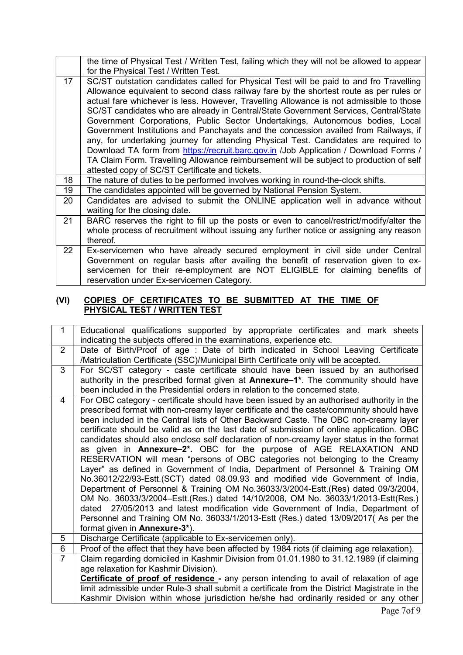|                 | the time of Physical Test / Written Test, failing which they will not be allowed to appear |
|-----------------|--------------------------------------------------------------------------------------------|
|                 | for the Physical Test / Written Test.                                                      |
| 17              | SC/ST outstation candidates called for Physical Test will be paid to and fro Travelling    |
|                 | Allowance equivalent to second class railway fare by the shortest route as per rules or    |
|                 | actual fare whichever is less. However, Travelling Allowance is not admissible to those    |
|                 | SC/ST candidates who are already in Central/State Government Services, Central/State       |
|                 | Government Corporations, Public Sector Undertakings, Autonomous bodies, Local              |
|                 | Government Institutions and Panchayats and the concession availed from Railways, if        |
|                 | any, for undertaking journey for attending Physical Test. Candidates are required to       |
|                 | Download TA form from https://recruit.barc.gov.in /Job Application / Download Forms /      |
|                 | TA Claim Form. Travelling Allowance reimbursement will be subject to production of self    |
|                 | attested copy of SC/ST Certificate and tickets.                                            |
| 18              | The nature of duties to be performed involves working in round-the-clock shifts.           |
| 19              | The candidates appointed will be governed by National Pension System.                      |
| 20              | Candidates are advised to submit the ONLINE application well in advance without            |
|                 | waiting for the closing date.                                                              |
| 21              | BARC reserves the right to fill up the posts or even to cancel/restrict/modify/alter the   |
|                 | whole process of recruitment without issuing any further notice or assigning any reason    |
|                 | thereof.                                                                                   |
| 22 <sub>2</sub> | Ex-servicemen who have already secured employment in civil side under Central              |
|                 | Government on regular basis after availing the benefit of reservation given to ex-         |
|                 | servicemen for their re-employment are NOT ELIGIBLE for claiming benefits of               |
|                 | reservation under Ex-servicemen Category.                                                  |

# (VI) COPIES OF CERTIFICATES TO BE SUBMITTED AT THE TIME OF PHYSICAL TEST / WRITTEN TEST

| $\mathbf 1$    | Educational qualifications supported by appropriate certificates and mark sheets<br>indicating the subjects offered in the examinations, experience etc.        |
|----------------|-----------------------------------------------------------------------------------------------------------------------------------------------------------------|
| $\overline{2}$ | Date of Birth/Proof of age: Date of birth indicated in School Leaving Certificate                                                                               |
|                | /Matriculation Certificate (SSC)/Municipal Birth Certificate only will be accepted.                                                                             |
| 3              | For SC/ST category - caste certificate should have been issued by an authorised                                                                                 |
|                | authority in the prescribed format given at Annexure-1 <sup>*</sup> . The community should have                                                                 |
|                | been included in the Presidential orders in relation to the concerned state.                                                                                    |
| 4              | For OBC category - certificate should have been issued by an authorised authority in the                                                                        |
|                | prescribed format with non-creamy layer certificate and the caste/community should have                                                                         |
|                | been included in the Central lists of Other Backward Caste. The OBC non-creamy layer                                                                            |
|                | certificate should be valid as on the last date of submission of online application. OBC                                                                        |
|                | candidates should also enclose self declaration of non-creamy layer status in the format                                                                        |
|                | as given in Annexure-2*. OBC for the purpose of AGE RELAXATION AND                                                                                              |
|                | RESERVATION will mean "persons of OBC categories not belonging to the Creamy<br>Layer" as defined in Government of India, Department of Personnel & Training OM |
|                | No.36012/22/93-Estt.(SCT) dated 08.09.93 and modified vide Government of India,                                                                                 |
|                | Department of Personnel & Training OM No.36033/3/2004-Estt.(Res) dated 09/3/2004,                                                                               |
|                | OM No. 36033/3/2004-Estt.(Res.) dated 14/10/2008, OM No. 36033/1/2013-Estt(Res.)                                                                                |
|                | dated 27/05/2013 and latest modification vide Government of India, Department of                                                                                |
|                | Personnel and Training OM No. 36033/1/2013-Estt (Res.) dated 13/09/2017( As per the                                                                             |
|                | format given in <b>Annexure-3*</b> ).                                                                                                                           |
| 5              | Discharge Certificate (applicable to Ex-servicemen only).                                                                                                       |
| 6              | Proof of the effect that they have been affected by 1984 riots (if claiming age relaxation).                                                                    |
| $\overline{7}$ | Claim regarding domiciled in Kashmir Division from 01.01.1980 to 31.12.1989 (if claiming                                                                        |
|                | age relaxation for Kashmir Division).                                                                                                                           |
|                | <b>Certificate of proof of residence</b> - any person intending to avail of relaxation of age                                                                   |
|                | limit admissible under Rule-3 shall submit a certificate from the District Magistrate in the                                                                    |
|                | Kashmir Division within whose jurisdiction he/she had ordinarily resided or any other                                                                           |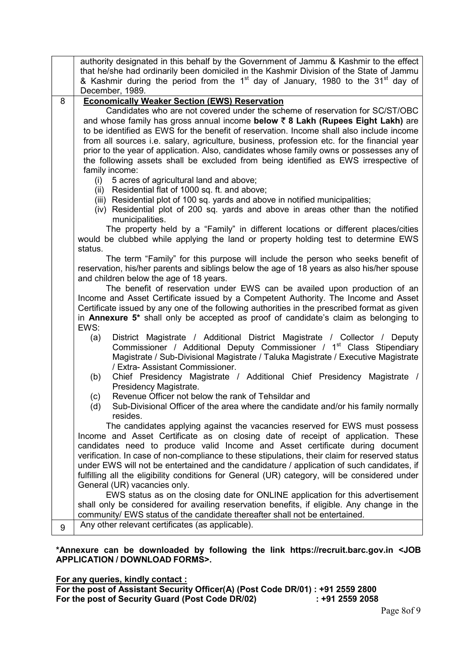|   | authority designated in this behalf by the Government of Jammu & Kashmir to the effect                                                                                        |
|---|-------------------------------------------------------------------------------------------------------------------------------------------------------------------------------|
|   | that he/she had ordinarily been domiciled in the Kashmir Division of the State of Jammu                                                                                       |
|   | & Kashmir during the period from the 1 <sup>st</sup> day of January, 1980 to the 31 <sup>st</sup> day of                                                                      |
|   | December, 1989.                                                                                                                                                               |
| 8 | <b>Economically Weaker Section (EWS) Reservation</b><br>Candidates who are not covered under the scheme of reservation for SC/ST/OBC                                          |
|   | and whose family has gross annual income below ₹ 8 Lakh (Rupees Eight Lakh) are                                                                                               |
|   | to be identified as EWS for the benefit of reservation. Income shall also include income                                                                                      |
|   | from all sources i.e. salary, agriculture, business, profession etc. for the financial year                                                                                   |
|   | prior to the year of application. Also, candidates whose family owns or possesses any of                                                                                      |
|   | the following assets shall be excluded from being identified as EWS irrespective of                                                                                           |
|   | family income:                                                                                                                                                                |
|   | 5 acres of agricultural land and above;<br>(i)                                                                                                                                |
|   | (ii) Residential flat of 1000 sq. ft. and above;                                                                                                                              |
|   | (iii) Residential plot of 100 sq. yards and above in notified municipalities;                                                                                                 |
|   | (iv) Residential plot of 200 sq. yards and above in areas other than the notified                                                                                             |
|   | municipalities.                                                                                                                                                               |
|   | The property held by a "Family" in different locations or different places/cities                                                                                             |
|   | would be clubbed while applying the land or property holding test to determine EWS                                                                                            |
|   | status.                                                                                                                                                                       |
|   | The term "Family" for this purpose will include the person who seeks benefit of<br>reservation, his/her parents and siblings below the age of 18 years as also his/her spouse |
|   | and children below the age of 18 years.                                                                                                                                       |
|   | The benefit of reservation under EWS can be availed upon production of an                                                                                                     |
|   | Income and Asset Certificate issued by a Competent Authority. The Income and Asset                                                                                            |
|   | Certificate issued by any one of the following authorities in the prescribed format as given                                                                                  |
|   | in Annexure 5* shall only be accepted as proof of candidate's claim as belonging to                                                                                           |
|   | EWS:                                                                                                                                                                          |
|   | District Magistrate / Additional District Magistrate / Collector / Deputy<br>(a)                                                                                              |
|   | Commissioner / Additional Deputy Commissioner / 1 <sup>st</sup> Class Stipendiary                                                                                             |
|   | Magistrate / Sub-Divisional Magistrate / Taluka Magistrate / Executive Magistrate<br>/ Extra- Assistant Commissioner.                                                         |
|   | Chief Presidency Magistrate / Additional Chief Presidency Magistrate /<br>(b)                                                                                                 |
|   | Presidency Magistrate.                                                                                                                                                        |
|   | Revenue Officer not below the rank of Tehsildar and<br>(c)                                                                                                                    |
|   | Sub-Divisional Officer of the area where the candidate and/or his family normally<br>(d)                                                                                      |
|   | resides.                                                                                                                                                                      |
|   | The candidates applying against the vacancies reserved for EWS must possess                                                                                                   |
|   | Income and Asset Certificate as on closing date of receipt of application. These                                                                                              |
|   | candidates need to produce valid Income and Asset certificate during document                                                                                                 |
|   | verification. In case of non-compliance to these stipulations, their claim for reserved status                                                                                |
|   | under EWS will not be entertained and the candidature / application of such candidates, if                                                                                    |
|   | fulfilling all the eligibility conditions for General (UR) category, will be considered under                                                                                 |
|   | General (UR) vacancies only.<br>EWS status as on the closing date for ONLINE application for this advertisement                                                               |
|   | shall only be considered for availing reservation benefits, if eligible. Any change in the                                                                                    |
|   | community/ EWS status of the candidate thereafter shall not be entertained.                                                                                                   |
| 9 | Any other relevant certificates (as applicable).                                                                                                                              |
|   |                                                                                                                                                                               |

\*Annexure can be downloaded by following the link https://recruit.barc.gov.in <JOB APPLICATION / DOWNLOAD FORMS>.

For any queries, kindly contact :

For the post of Assistant Security Officer(A) (Post Code DR/01) : +91 2559 2800 For the post of Security Guard (Post Code DR/02) : +91 2559 2058